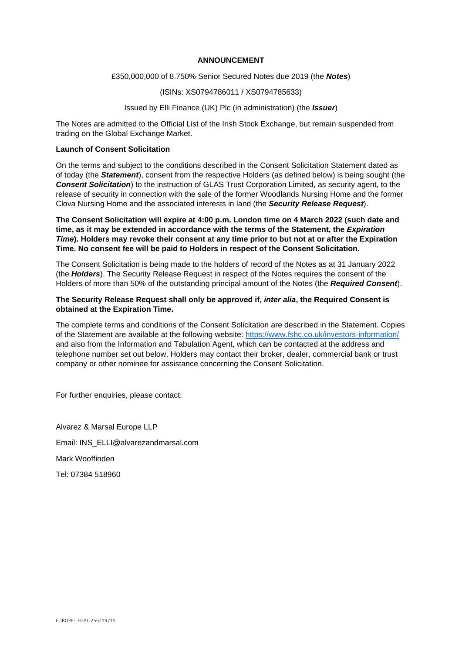## **ANNOUNCEMENT**

### £350,000,000 of 8.750% Senior Secured Notes due 2019 (the *Notes*)

### (ISINs: XS0794786011 / XS0794785633)

# Issued by Elli Finance (UK) Plc (in administration) (the *Issuer*)

The Notes are admitted to the Official List of the Irish Stock Exchange, but remain suspended from trading on the Global Exchange Market.

# **Launch of Consent Solicitation**

On the terms and subject to the conditions described in the Consent Solicitation Statement dated as of today (the *Statement*), consent from the respective Holders (as defined below) is being sought (the **Consent Solicitation**) to the instruction of GLAS Trust Corporation Limited, as security agent, to the release of security in connection with the sale of the former Woodlands Nursing Home and the former Clova Nursing Home and the associated interests in land (the *Security Release Request*).

**The Consent Solicitation will expire at 4:00 p.m. London time on 4 March 2022 (such date and time, as it may be extended in accordance with the terms of the Statement, the** *Expiration Time***). Holders may revoke their consent at any time prior to but not at or after the Expiration Time. No consent fee will be paid to Holders in respect of the Consent Solicitation.** 

The Consent Solicitation is being made to the holders of record of the Notes as at 31 January 2022 (the *Holders*). The Security Release Request in respect of the Notes requires the consent of the Holders of more than 50% of the outstanding principal amount of the Notes (the *Required Consent*).

### **The Security Release Request shall only be approved if,** *inter alia***, the Required Consent is obtained at the Expiration Time.**

The complete terms and conditions of the Consent Solicitation are described in the Statement. Copies of the Statement are available at the following website: https://www.fshc.co.uk/investors-information/ and also from the Information and Tabulation Agent, which can be contacted at the address and telephone number set out below. Holders may contact their broker, dealer, commercial bank or trust company or other nominee for assistance concerning the Consent Solicitation.

For further enquiries, please contact:

Alvarez & Marsal Europe LLP Email: INS\_ELLI@alvarezandmarsal.com Mark Wooffinden Tel: 07384 518960